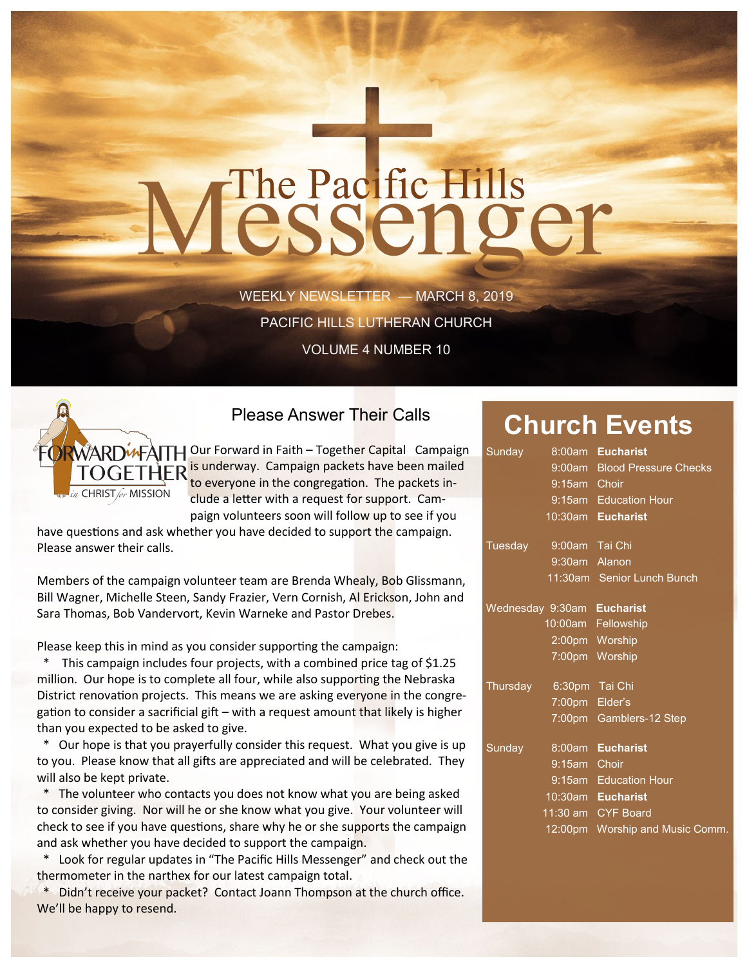# The Pacific Hills<br>CSSCNOCT

WEEKLY NEWSLETTER — MARCH 8, 2019 PACIFIC HILLS LUTHERAN CHURCH

VOLUME 4 NUMBER 10



Please Answer Their Calls

 $\widetilde{W}$ ARD $\widetilde{W}$ ATH Our Forward in Faith – Together Capital Campaign **OGETHER** is underway. Campaign packets have been mailed to everyone in the congregation. The packets include a letter with a request for support. Campaign volunteers soon will follow up to see if you

have questions and ask whether you have decided to support the campaign. Please answer their calls.

Members of the campaign volunteer team are Brenda Whealy, Bob Glissmann, Bill Wagner, Michelle Steen, Sandy Frazier, Vern Cornish, Al Erickson, John and Sara Thomas, Bob Vandervort, Kevin Warneke and Pastor Drebes.

Please keep this in mind as you consider supporting the campaign:

This campaign includes four projects, with a combined price tag of \$1.25 million. Our hope is to complete all four, while also supporting the Nebraska District renovation projects. This means we are asking everyone in the congregation to consider a sacrificial gift – with a request amount that likely is higher than you expected to be asked to give.

 \* Our hope is that you prayerfully consider this request. What you give is up to you. Please know that all gifts are appreciated and will be celebrated. They will also be kept private.

 \* The volunteer who contacts you does not know what you are being asked to consider giving. Nor will he or she know what you give. Your volunteer will check to see if you have questions, share why he or she supports the campaign and ask whether you have decided to support the campaign.

 \* Look for regular updates in "The Pacific Hills Messenger" and check out the thermometer in the narthex for our latest campaign total.

 \* Didn't receive your packet? Contact Joann Thompson at the church office. We'll be happy to resend.

# **Church Events**

| Sunday                     |                | 8:00am Eucharist                |
|----------------------------|----------------|---------------------------------|
|                            |                | 9:00am Blood Pressure Checks    |
|                            | 9:15am Choir   |                                 |
|                            |                | 9:15am Education Hour           |
|                            |                | 10:30am Eucharist               |
| Tuesday 9:00am Tai Chi     |                |                                 |
|                            | 9:30am Alanon  |                                 |
|                            |                | 11:30am Senior Lunch Bunch      |
| Wednesday 9:30am Eucharist |                |                                 |
|                            |                | 10:00am Fellowship              |
|                            |                | 2:00pm Worship                  |
|                            |                | 7:00pm Worship                  |
| Thursday 6:30pm Tai Chi    |                |                                 |
|                            | 7:00pm Elder's |                                 |
|                            |                | 7:00pm Gamblers-12 Step         |
| Sunday                     |                | 8:00am Eucharist                |
|                            | 9:15am Choir   |                                 |
|                            |                | 9:15am Education Hour           |
|                            |                | 10:30am Eucharist               |
|                            |                | 11:30 am CYF Board              |
|                            |                | 12:00pm Worship and Music Comm. |
|                            |                |                                 |